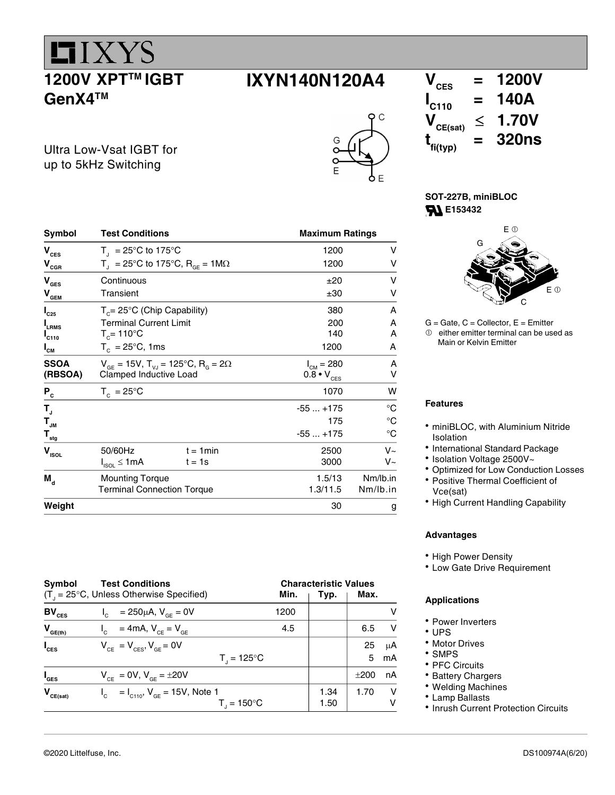1200V XPT™ IGBT GenX4™

**LIXYS** 

#### $IXYN140N120A4$   $V_{\text{ces}} = 1200V$

 $\Omega$ 



| Symbol                                  | <b>Test Conditions</b>                                               |             | <b>Maximum Ratings</b>     |            |
|-----------------------------------------|----------------------------------------------------------------------|-------------|----------------------------|------------|
| $\mathbf{V}_{\mathrm{CES}}$             | $T_{\parallel}$ = 25°C to 175°C                                      |             | 1200                       | v          |
| $\mathbf{V}_{\texttt{CGR}}$             | $T_{\text{I}}$ = 25°C to 175°C, R <sub>GF</sub> = 1M $\Omega$        |             | 1200                       | v          |
| $\mathbf{V}_{\texttt{GES}}$             | Continuous                                                           |             | ±20                        | ν          |
| $\mathbf{V}_{\underline{\mathbf{GEM}}}$ | Transient                                                            |             | ±30                        | v          |
| $I_{C25}$                               | $T_c = 25^{\circ}C$ (Chip Capability)                                |             | 380                        | A          |
| LRMS                                    | <b>Terminal Current Limit</b>                                        |             | 200                        | A          |
| $I_{C110}$                              | $T_c = 110^{\circ}$ C                                                |             | 140                        | A          |
| $I_{\texttt{CM}}$                       | $T_c = 25^{\circ}C$ , 1ms                                            |             | 1200                       | A          |
| <b>SSOA</b>                             | $V_{GF}$ = 15V, T <sub>VJ</sub> = 125°C, R <sub>G</sub> = 2 $\Omega$ |             | $I_{CM} = 280$             | A          |
| (RBSOA)                                 | Clamped Inductive Load                                               |             | $0.8 \cdot V_{\text{CES}}$ | v          |
| $P_c$                                   | $T_c = 25^{\circ}C$                                                  |             | 1070                       | w          |
| Т,                                      |                                                                      |             | $-55+175$                  | °C         |
| $\mathbf{T}_{_{\mathsf{JM}}}$           |                                                                      |             | 175                        | °C         |
| $\mathbf{T}_{\text{stg}}$               |                                                                      |             | $-55+175$                  | °C         |
| $\mathbf{V}_{\text{ISOL}}$              | 50/60Hz                                                              | $t = 1$ min | 2500                       | $V_{\sim}$ |
|                                         | $I_{ISOL} \leq 1mA$                                                  | $t = 1s$    | 3000                       | V~         |
| $M_{\rm d}$                             | <b>Mounting Torque</b>                                               |             | 1.5/13                     | Nm/lb.in   |
|                                         | <b>Terminal Connection Torque</b>                                    |             | 1.3/11.5                   | Nm/lb.in   |
| Weight                                  |                                                                      |             | 30                         | g          |

Symbol Test Conditions Characteristic Values  $(T_{j} = 25^{\circ}C$ , Unless Otherwise Specified) **Min. Min. Typ. Max. BV**<sub>CES</sub> I<sub>C</sub> = 250µA, V<sub>GE</sub> = 0V 1200 1200 V  $V_{GE(th)}$   $I_c$  = 4mA,  $V_{CE} = V_{GE}$  4.5 6.5 V  $I_{\text{ces}}$   $V_{\text{ce}} = V_{\text{ces}}, V_{\text{ge}} = 0V$  25  $\mu$ A  $\mathsf{T}_{\mathsf{J}}$  $T = 125^{\circ}C$  | 5 mA  $I_{\text{GES}}$   $V_{\text{CE}} = 0V$ ,  $V_{\text{GE}} = \pm 20V$   $\pm 200$  nA  $V_{CE(sat)}$   $I_c = I_{C110}$ ,  $V_{GE} = 15V$ , Note 1 1.34 1.70 V  $\mathbf{T}_\mathrm{J}$  and  $\mathbf{T}_\mathrm{J}$  $T_{1} = 150^{\circ}C$ 

 $I_{\text{C110}}$  = 140A<br> $V_{\text{CE(sat)}}$   $\leq$  1.70V  $\leq$  1.70V  $t_{\text{fi(typ)}}$  $=$  320ns

SOT-227B, miniBLOC **E153432** 



 $G =$  Gate,  $C =$  Collector,  $E =$  Emitter  $<sup>①</sup>$  either emitter terminal can be used as</sup> Main or Kelvin Emitter

#### Features

- miniBLOC, with Aluminium Nitride Isolation
- International Standard Package
- Isolation Voltage 2500V~
- Optimized for Low Conduction Losses
- Positive Thermal Coefficient of Vce(sat)
- High Current Handling Capability

#### Advantages

- High Power Density
- Low Gate Drive Requirement

#### Applications

- Power Inverters
- UPS
- Motor Drives
- SMPS
- PFC Circuits
- Battery Chargers
- Welding Machines
- Lamp Ballasts
- Inrush Current Protection Circuits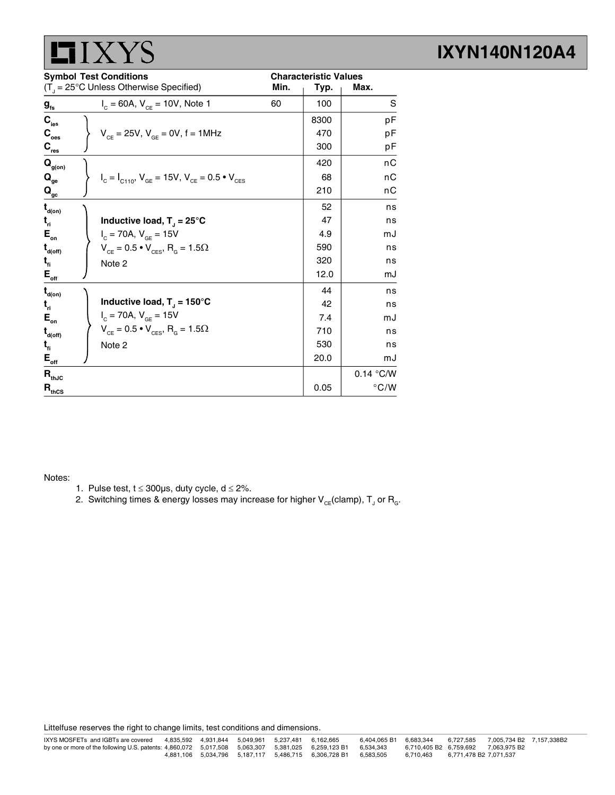

|                                         | <b>Symbol Test Conditions</b>                                     |      | <b>Characteristic Values</b> |               |
|-----------------------------------------|-------------------------------------------------------------------|------|------------------------------|---------------|
|                                         | $(T_{\text{J}} = 25^{\circ} \text{C}$ Unless Otherwise Specified) | Min. | Typ.                         | Max.          |
| $g_{\rm fs}$                            | $I_c = 60A$ , $V_{ce} = 10V$ , Note 1                             | 60   | 100                          | S             |
| $\mathbf{C}_{\text{ies}}$               |                                                                   |      | 8300                         | pF            |
| $\mathbf{C}_{\text{oes}}$               | $V_{CE} = 25V$ , $V_{GE} = 0V$ , $f = 1MHz$                       |      | 470                          | рF            |
| $\mathbf{C}_{\mathsf{res}}$             |                                                                   |      | 300                          | рF            |
| $\mathbf{Q}_{\text{g(on)}}$             |                                                                   |      | 420                          | nС            |
| $\mathbf{Q}_{_{\mathbf{ge}}}$           | $I_c = I_{C110}$ , $V_{GE} = 15V$ , $V_{CE} = 0.5 \cdot V_{CES}$  |      | 68                           | nС            |
| $\mathbf{Q}_{\underline{\mathrm{gc}}}$  |                                                                   |      | 210                          | nС            |
| $\mathbf{t}_{\mathsf{d}(\mathsf{on})}$  |                                                                   |      | 52                           | ns            |
| $t_{\rm n}$                             | Inductive load, $T_1 = 25^{\circ}C$                               |      | 47                           | ns            |
| $E_{\rm on}$                            | $I_c = 70A, V_{GE} = 15V$                                         |      | 4.9                          | mJ            |
| $\mathbf{t}_{\mathsf{d}(\mathsf{off})}$ | $V_{CE} = 0.5 \cdot V_{CES}$ , R <sub>G</sub> = 1.5 $\Omega$      |      | 590                          | ns            |
| $t_{\rm fl}$                            | Note 2                                                            |      | 320                          | ns            |
| $E_{_{\sf off}}$                        |                                                                   |      | 12.0                         | mJ            |
| $\mathbf{t}_{\mathsf{d}(\mathsf{on})}$  |                                                                   |      | 44                           | ns            |
| $t_{\rm n}$                             | Inductive load, $T_1 = 150^{\circ}$ C                             |      | 42                           | ns            |
| $E_{\rm on}$                            | $I_c = 70A, V_{SF} = 15V$                                         |      | 7.4                          | mJ            |
| $\mathbf{t}_{\mathsf{d}(\mathsf{off})}$ | $V_{CE} = 0.5 \cdot V_{CES}$ , R <sub>G</sub> = 1.5 $\Omega$      |      | 710                          | ns            |
| $t_{\rm fl}$                            | Note 2                                                            |      | 530                          | ns            |
| $\mathsf{E}_{\mathsf{off}}$             |                                                                   |      | 20.0                         | mJ            |
| $\mathbf{R}_{\text{thJC}}$              |                                                                   |      |                              | 0.14 °C/W     |
| $\mathbf{R}_{\text{thCS}}$              |                                                                   |      | 0.05                         | $\degree$ C/W |

Notes:

- 1. Pulse test,  $t \le 300 \mu s$ , duty cycle,  $d \le 2\%$ .
- 2. Switching times & energy losses may increase for higher  $\mathsf{V}_{\varepsilon \varepsilon}$ (clamp),  $\mathsf{T}_{\text{J}}$  or  $\mathsf{R}_{\text{g}}$ .

Littelfuse reserves the right to change limits, test conditions and dimensions.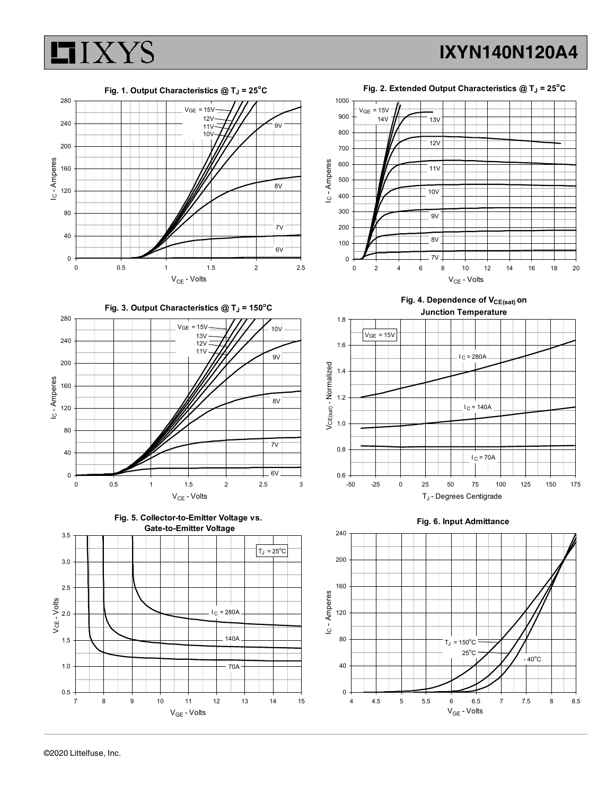



Fig. 3. Output Characteristics  $@T_J = 150°C$ 









Fig. 4. Dependence of  $V_{CE(sat)}$  on Junction Temperature





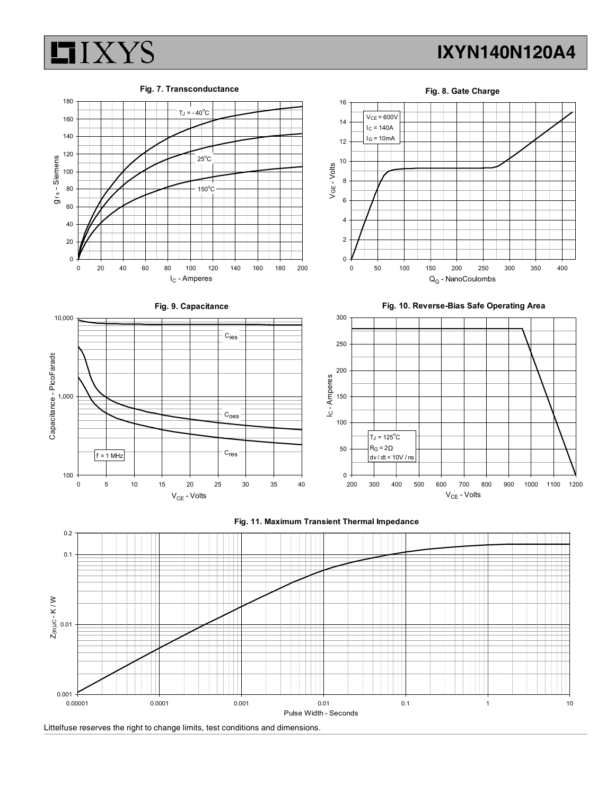





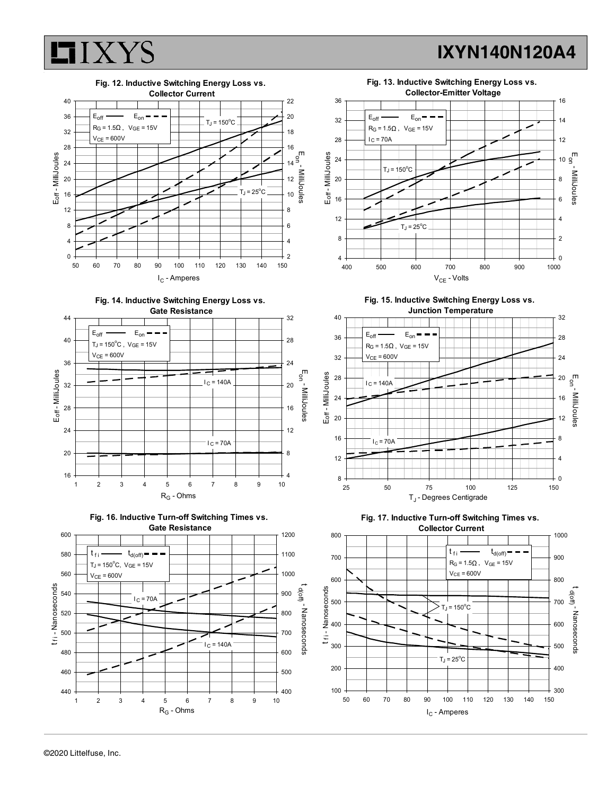



©2020 Littelfuse, Inc.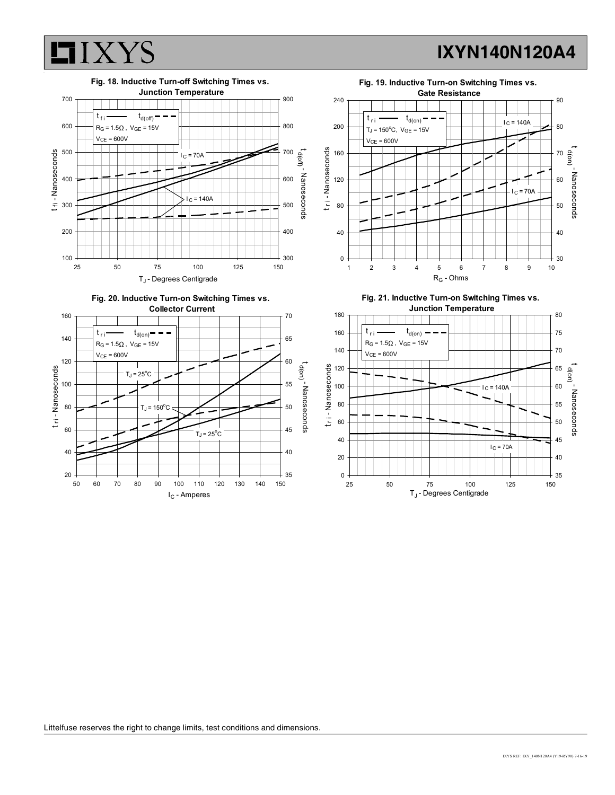





Fig. 19. Inductive Turn-on Switching Times vs.





Fig. 21. Inductive Turn-on Switching Times vs.

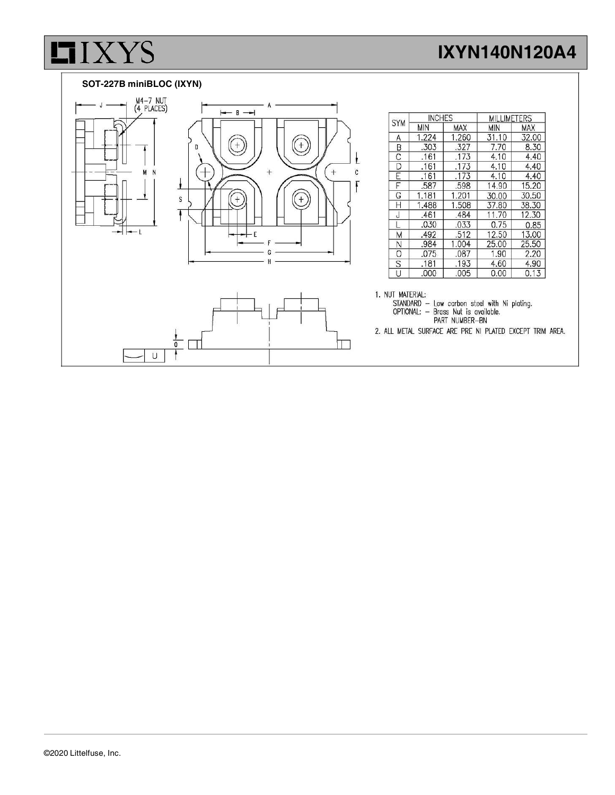#### SOT-227B miniBLOC (IXYN)

**LIXYS** 



| <b>SYM</b> | <b>INCHES</b> |            | <b>MILLIMETERS</b> |            |
|------------|---------------|------------|--------------------|------------|
|            | <b>MIN</b>    | <b>MAX</b> | <b>MIN</b>         | <b>MAX</b> |
| Α          | 1.224         | 1.260      | 31.10              | 32.00      |
| B          | .303          | .327       | 7.70               | 8.30       |
| C          | .161          | .173       | 4.10               | 4.40       |
| D          | .161          | .173       | 4.10               | 4.40       |
| F          | .161          | .173       | 4.10               | 4.40       |
| F          | .587          | .598       | 14.90              | 15.20      |
| G          | 1.181         | 1.201      | 30.00              | 30.50      |
| Н          | 1.488         | 1.508      | 37.80              | 38.30      |
| J          | .461          | .484       | 11.70              | 12.30      |
|            | .030          | .033       | 0.75               | 0.85       |
| M          | .492          | .512       | 12.50              | 13.00      |
| Ν          | .984          | 1.004      | 25.00              | 25.50      |
| 0          | .075          | .087       | 1.90               | 2.20       |
| S          | .181          | .193       | 4.60               | 4.90       |
| U          | .000          | .005       | 0.00               | 0.13       |

1. NUT MATERIAL:

THE STANDARD - Low carbon steel with Ni plating.<br>
STANDARD - Brass Nut is available.<br>
PART NUMBER-BN

2. ALL METAL SURFACE ARE PRE NI PLATED EXCEPT TRIM AREA.